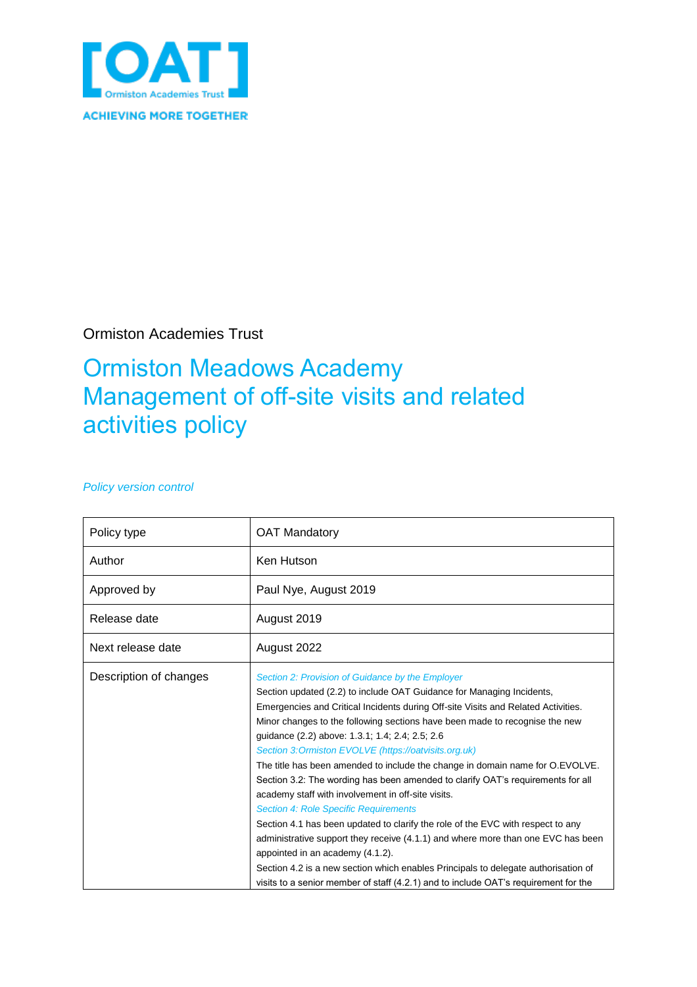

Ormiston Academies Trust

# Ormiston Meadows Academy Management of off-site visits and related activities policy

#### *Policy version control*

| Policy type            | <b>OAT Mandatory</b>                                                                                                                                                                                                                                                                                                                                                                                                                                                                                                                                                                                                                                                                                                                                                                                                                                                                                                                                                                                                                                                        |
|------------------------|-----------------------------------------------------------------------------------------------------------------------------------------------------------------------------------------------------------------------------------------------------------------------------------------------------------------------------------------------------------------------------------------------------------------------------------------------------------------------------------------------------------------------------------------------------------------------------------------------------------------------------------------------------------------------------------------------------------------------------------------------------------------------------------------------------------------------------------------------------------------------------------------------------------------------------------------------------------------------------------------------------------------------------------------------------------------------------|
| Author                 | Ken Hutson                                                                                                                                                                                                                                                                                                                                                                                                                                                                                                                                                                                                                                                                                                                                                                                                                                                                                                                                                                                                                                                                  |
| Approved by            | Paul Nye, August 2019                                                                                                                                                                                                                                                                                                                                                                                                                                                                                                                                                                                                                                                                                                                                                                                                                                                                                                                                                                                                                                                       |
| Release date           | August 2019                                                                                                                                                                                                                                                                                                                                                                                                                                                                                                                                                                                                                                                                                                                                                                                                                                                                                                                                                                                                                                                                 |
| Next release date      | August 2022                                                                                                                                                                                                                                                                                                                                                                                                                                                                                                                                                                                                                                                                                                                                                                                                                                                                                                                                                                                                                                                                 |
| Description of changes | Section 2: Provision of Guidance by the Employer<br>Section updated (2.2) to include OAT Guidance for Managing Incidents,<br>Emergencies and Critical Incidents during Off-site Visits and Related Activities.<br>Minor changes to the following sections have been made to recognise the new<br>quidance (2.2) above: 1.3.1; 1.4; 2.4; 2.5; 2.6<br>Section 3: Ormiston EVOLVE (https://oatvisits.org.uk)<br>The title has been amended to include the change in domain name for O.EVOLVE.<br>Section 3.2: The wording has been amended to clarify OAT's requirements for all<br>academy staff with involvement in off-site visits.<br><b>Section 4: Role Specific Requirements</b><br>Section 4.1 has been updated to clarify the role of the EVC with respect to any<br>administrative support they receive (4.1.1) and where more than one EVC has been<br>appointed in an academy (4.1.2).<br>Section 4.2 is a new section which enables Principals to delegate authorisation of<br>visits to a senior member of staff (4.2.1) and to include OAT's requirement for the |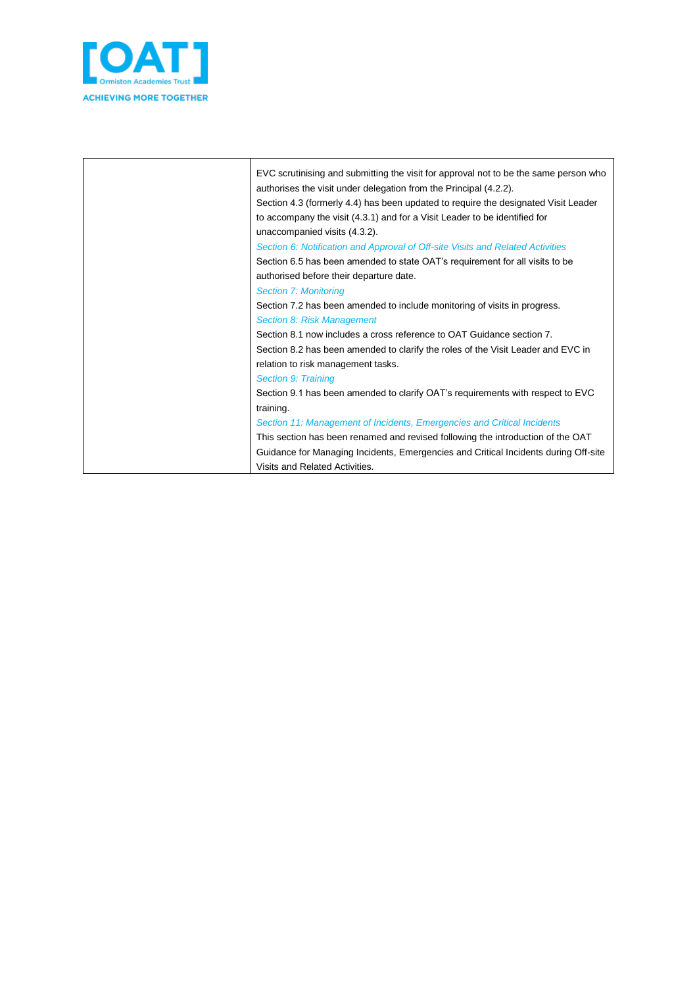

| EVC scrutinising and submitting the visit for approval not to be the same person who<br>authorises the visit under delegation from the Principal (4.2.2).<br>Section 4.3 (formerly 4.4) has been updated to require the designated Visit Leader<br>to accompany the visit (4.3.1) and for a Visit Leader to be identified for<br>unaccompanied visits (4.3.2). |
|----------------------------------------------------------------------------------------------------------------------------------------------------------------------------------------------------------------------------------------------------------------------------------------------------------------------------------------------------------------|
| Section 6: Notification and Approval of Off-site Visits and Related Activities                                                                                                                                                                                                                                                                                 |
| Section 6.5 has been amended to state OAT's requirement for all visits to be                                                                                                                                                                                                                                                                                   |
| authorised before their departure date.                                                                                                                                                                                                                                                                                                                        |
| <b>Section 7: Monitoring</b>                                                                                                                                                                                                                                                                                                                                   |
| Section 7.2 has been amended to include monitoring of visits in progress.                                                                                                                                                                                                                                                                                      |
| Section 8: Risk Management                                                                                                                                                                                                                                                                                                                                     |
| Section 8.1 now includes a cross reference to OAT Guidance section 7.                                                                                                                                                                                                                                                                                          |
| Section 8.2 has been amended to clarify the roles of the Visit Leader and EVC in                                                                                                                                                                                                                                                                               |
| relation to risk management tasks.                                                                                                                                                                                                                                                                                                                             |
| <b>Section 9: Training</b>                                                                                                                                                                                                                                                                                                                                     |
| Section 9.1 has been amended to clarify OAT's requirements with respect to EVC                                                                                                                                                                                                                                                                                 |
| training.                                                                                                                                                                                                                                                                                                                                                      |
| Section 11: Management of Incidents, Emergencies and Critical Incidents                                                                                                                                                                                                                                                                                        |
| This section has been renamed and revised following the introduction of the OAT                                                                                                                                                                                                                                                                                |
| Guidance for Managing Incidents, Emergencies and Critical Incidents during Off-site                                                                                                                                                                                                                                                                            |
| Visits and Related Activities.                                                                                                                                                                                                                                                                                                                                 |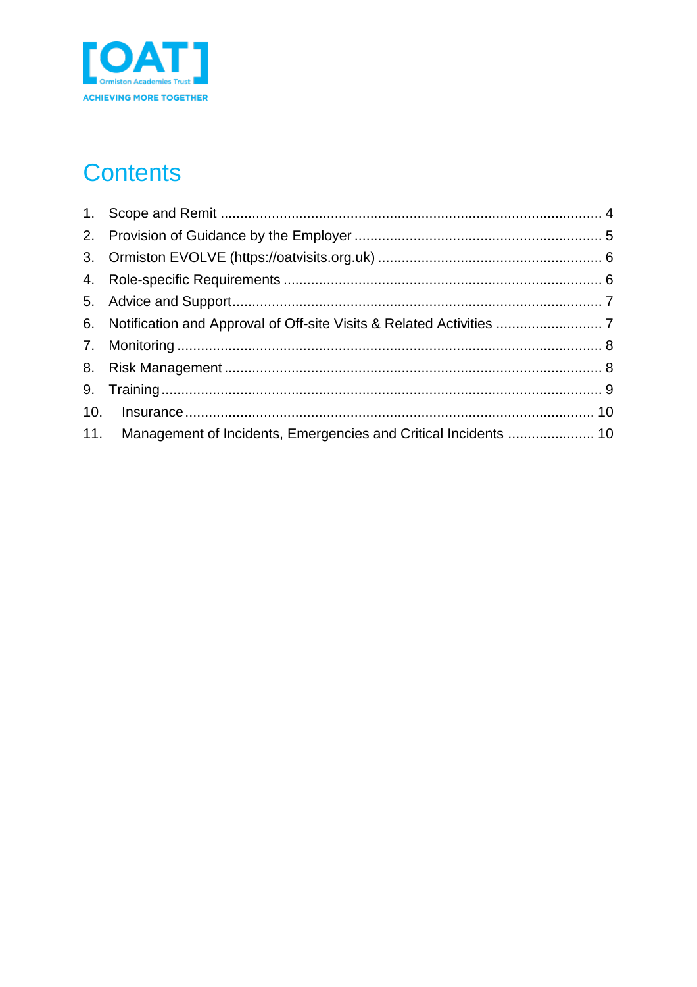

# **Contents**

| 11. Management of Incidents, Emergencies and Critical Incidents  10 |  |
|---------------------------------------------------------------------|--|
|                                                                     |  |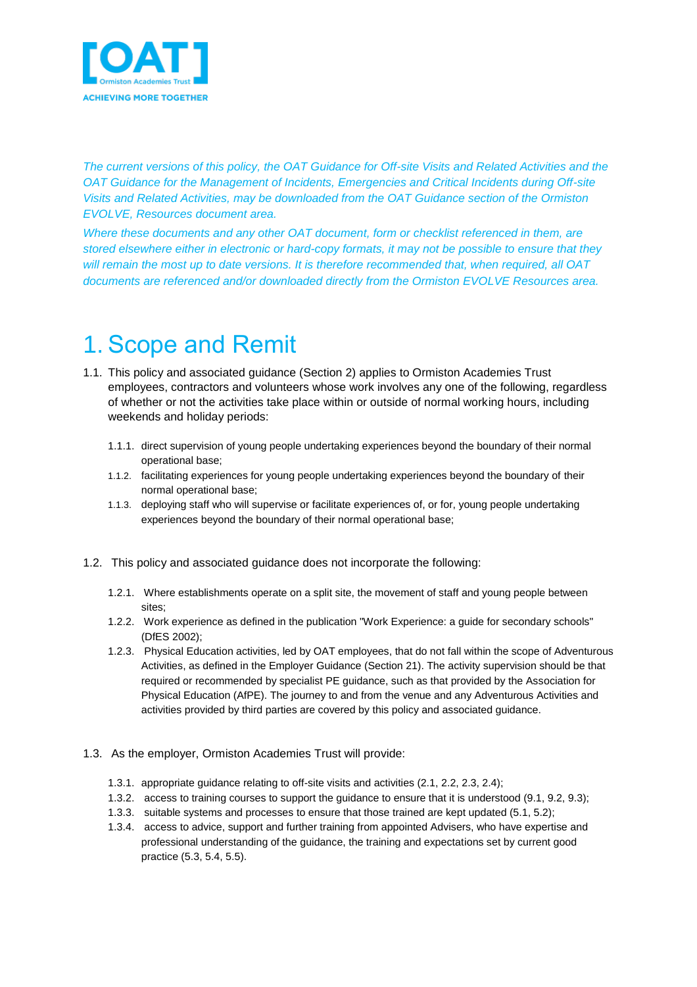

*The current versions of this policy, the OAT Guidance for Off-site Visits and Related Activities and the OAT Guidance for the Management of Incidents, Emergencies and Critical Incidents during Off-site Visits and Related Activities, may be downloaded from the OAT Guidance section of the Ormiston EVOLVE, Resources document area.*

*Where these documents and any other OAT document, form or checklist referenced in them, are stored elsewhere either in electronic or hard-copy formats, it may not be possible to ensure that they will remain the most up to date versions. It is therefore recommended that, when required, all OAT documents are referenced and/or downloaded directly from the Ormiston EVOLVE Resources area.*

# <span id="page-3-0"></span>1. Scope and Remit

- 1.1. This policy and associated guidance (Section 2) applies to Ormiston Academies Trust employees, contractors and volunteers whose work involves any one of the following, regardless of whether or not the activities take place within or outside of normal working hours, including weekends and holiday periods:
	- 1.1.1. direct supervision of young people undertaking experiences beyond the boundary of their normal operational base;
	- 1.1.2. facilitating experiences for young people undertaking experiences beyond the boundary of their normal operational base;
	- 1.1.3. deploying staff who will supervise or facilitate experiences of, or for, young people undertaking experiences beyond the boundary of their normal operational base;
- 1.2. This policy and associated guidance does not incorporate the following:
	- 1.2.1. Where establishments operate on a split site, the movement of staff and young people between sites;
	- 1.2.2. Work experience as defined in the publication "Work Experience: a guide for secondary schools" (DfES 2002);
	- 1.2.3. Physical Education activities, led by OAT employees, that do not fall within the scope of Adventurous Activities, as defined in the Employer Guidance (Section 21). The activity supervision should be that required or recommended by specialist PE guidance, such as that provided by the Association for Physical Education (AfPE). The journey to and from the venue and any Adventurous Activities and activities provided by third parties are covered by this policy and associated guidance.
- 1.3. As the employer, Ormiston Academies Trust will provide:
	- 1.3.1. appropriate guidance relating to off-site visits and activities (2.1, 2.2, 2.3, 2.4);
	- 1.3.2. access to training courses to support the guidance to ensure that it is understood (9.1, 9.2, 9.3);
	- 1.3.3. suitable systems and processes to ensure that those trained are kept updated (5.1, 5.2);
	- 1.3.4. access to advice, support and further training from appointed Advisers, who have expertise and professional understanding of the guidance, the training and expectations set by current good practice (5.3, 5.4, 5.5).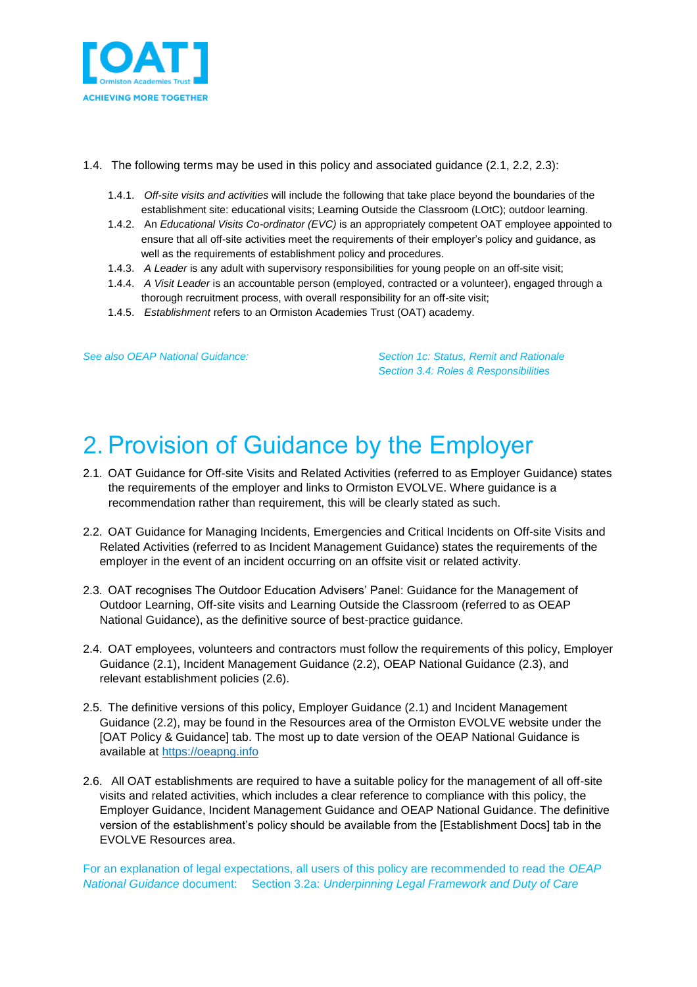

- 1.4. The following terms may be used in this policy and associated guidance (2.1, 2.2, 2.3):
	- 1.4.1. *Off-site visits and activities* will include the following that take place beyond the boundaries of the establishment site: educational visits; Learning Outside the Classroom (LOtC); outdoor learning.
	- 1.4.2. An *Educational Visits Co-ordinator (EVC)* is an appropriately competent OAT employee appointed to ensure that all off-site activities meet the requirements of their employer's policy and guidance, as well as the requirements of establishment policy and procedures.
	- 1.4.3. *A Leader* is any adult with supervisory responsibilities for young people on an off-site visit;
	- 1.4.4. *A Visit Leader* is an accountable person (employed, contracted or a volunteer), engaged through a thorough recruitment process, with overall responsibility for an off-site visit;
	- 1.4.5. *Establishment* refers to an Ormiston Academies Trust (OAT) academy.

*See also OEAP National Guidance: Section 1c: Status, Remit and Rationale Section 3.4: Roles & Responsibilities*

## <span id="page-4-0"></span>2. Provision of Guidance by the Employer

- 2.1. OAT Guidance for Off-site Visits and Related Activities (referred to as Employer Guidance) states the requirements of the employer and links to Ormiston EVOLVE. Where guidance is a recommendation rather than requirement, this will be clearly stated as such.
- 2.2. OAT Guidance for Managing Incidents, Emergencies and Critical Incidents on Off-site Visits and Related Activities (referred to as Incident Management Guidance) states the requirements of the employer in the event of an incident occurring on an offsite visit or related activity.
- 2.3. OAT recognises The Outdoor Education Advisers' Panel: Guidance for the Management of Outdoor Learning, Off-site visits and Learning Outside the Classroom (referred to as OEAP National Guidance), as the definitive source of best-practice guidance.
- 2.4. OAT employees, volunteers and contractors must follow the requirements of this policy, Employer Guidance (2.1), Incident Management Guidance (2.2), OEAP National Guidance (2.3), and relevant establishment policies (2.6).
- 2.5. The definitive versions of this policy, Employer Guidance (2.1) and Incident Management Guidance (2.2), may be found in the Resources area of the Ormiston EVOLVE website under the [OAT Policy & Guidance] tab. The most up to date version of the OEAP National Guidance is available at [https://oeapng.info](https://oeapng.info/)
- 2.6. All OAT establishments are required to have a suitable policy for the management of all off-site visits and related activities, which includes a clear reference to compliance with this policy, the Employer Guidance, Incident Management Guidance and OEAP National Guidance. The definitive version of the establishment's policy should be available from the [Establishment Docs] tab in the EVOLVE Resources area.

For an explanation of legal expectations, all users of this policy are recommended to read the *OEAP National Guidance* document: Section 3.2a: *Underpinning Legal Framework and Duty of Care*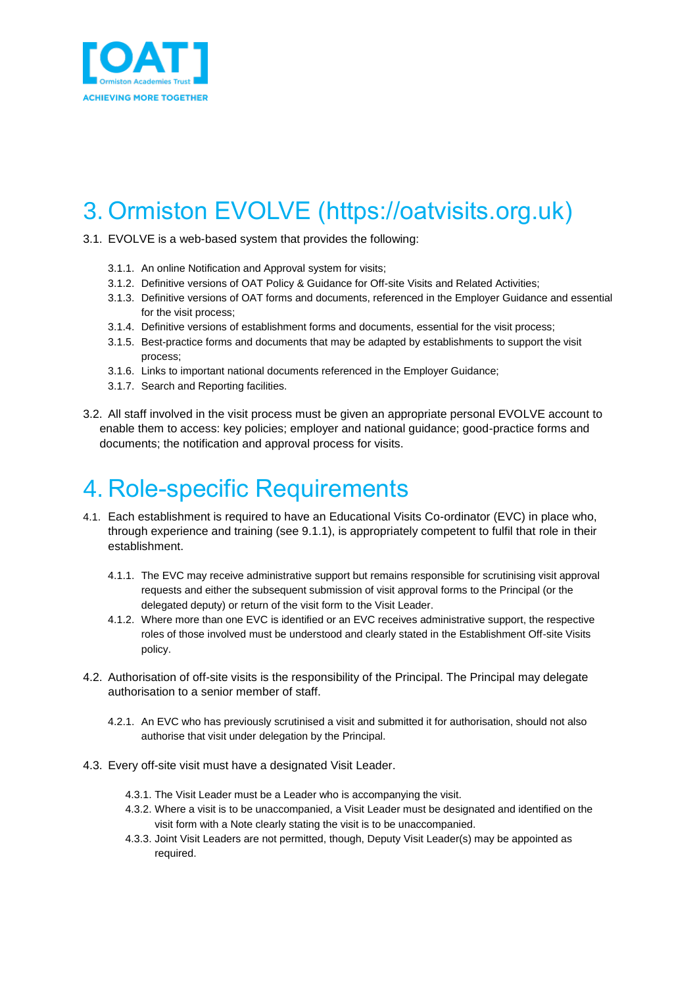

## <span id="page-5-0"></span>3. Ormiston EVOLVE (https://oatvisits.org.uk)

- 3.1. EVOLVE is a web-based system that provides the following:
	- 3.1.1. An online Notification and Approval system for visits;
	- 3.1.2. Definitive versions of OAT Policy & Guidance for Off-site Visits and Related Activities;
	- 3.1.3. Definitive versions of OAT forms and documents, referenced in the Employer Guidance and essential for the visit process;
	- 3.1.4. Definitive versions of establishment forms and documents, essential for the visit process;
	- 3.1.5. Best-practice forms and documents that may be adapted by establishments to support the visit process;
	- 3.1.6. Links to important national documents referenced in the Employer Guidance;
	- 3.1.7. Search and Reporting facilities.
- 3.2. All staff involved in the visit process must be given an appropriate personal EVOLVE account to enable them to access: key policies; employer and national guidance; good-practice forms and documents; the notification and approval process for visits.

### <span id="page-5-1"></span>4. Role-specific Requirements

- 4.1. Each establishment is required to have an Educational Visits Co-ordinator (EVC) in place who, through experience and training (see 9.1.1), is appropriately competent to fulfil that role in their establishment.
	- 4.1.1. The EVC may receive administrative support but remains responsible for scrutinising visit approval requests and either the subsequent submission of visit approval forms to the Principal (or the delegated deputy) or return of the visit form to the Visit Leader.
	- 4.1.2. Where more than one EVC is identified or an EVC receives administrative support, the respective roles of those involved must be understood and clearly stated in the Establishment Off-site Visits policy.
- 4.2. Authorisation of off-site visits is the responsibility of the Principal. The Principal may delegate authorisation to a senior member of staff.
	- 4.2.1. An EVC who has previously scrutinised a visit and submitted it for authorisation, should not also authorise that visit under delegation by the Principal.
- 4.3. Every off-site visit must have a designated Visit Leader.
	- 4.3.1. The Visit Leader must be a Leader who is accompanying the visit.
	- 4.3.2. Where a visit is to be unaccompanied, a Visit Leader must be designated and identified on the visit form with a Note clearly stating the visit is to be unaccompanied.
	- 4.3.3. Joint Visit Leaders are not permitted, though, Deputy Visit Leader(s) may be appointed as required.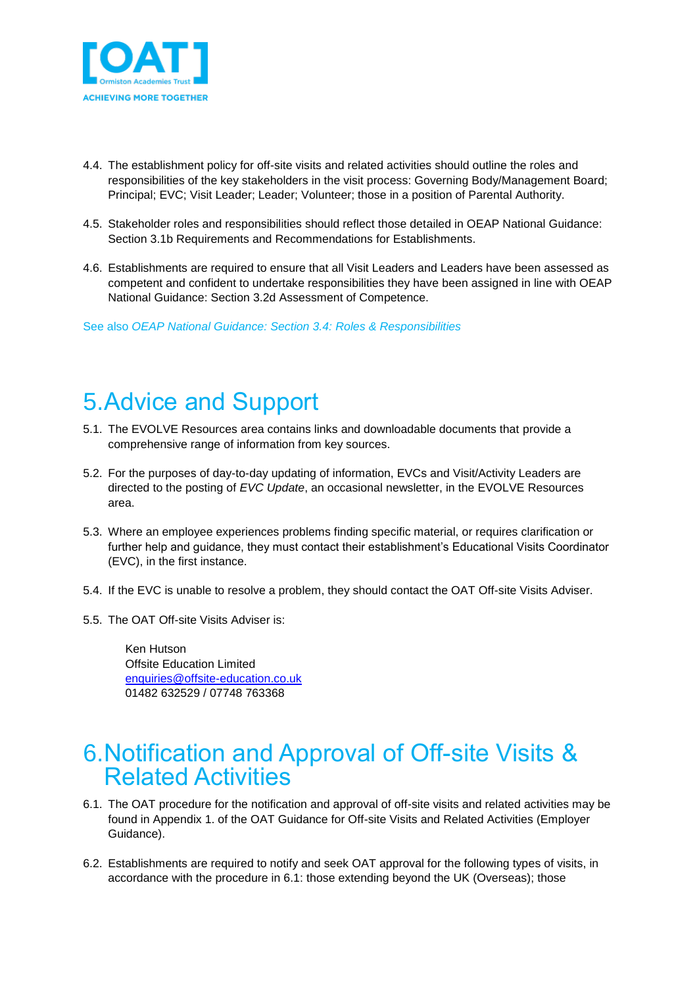

- 4.4. The establishment policy for off-site visits and related activities should outline the roles and responsibilities of the key stakeholders in the visit process: Governing Body/Management Board; Principal; EVC; Visit Leader; Leader; Volunteer; those in a position of Parental Authority.
- 4.5. Stakeholder roles and responsibilities should reflect those detailed in OEAP National Guidance: Section 3.1b Requirements and Recommendations for Establishments.
- 4.6. Establishments are required to ensure that all Visit Leaders and Leaders have been assessed as competent and confident to undertake responsibilities they have been assigned in line with OEAP National Guidance: Section 3.2d Assessment of Competence.

See also *OEAP National Guidance: Section 3.4: Roles & Responsibilities*

### <span id="page-6-0"></span>5.Advice and Support

- 5.1. The EVOLVE Resources area contains links and downloadable documents that provide a comprehensive range of information from key sources.
- 5.2. For the purposes of day-to-day updating of information, EVCs and Visit/Activity Leaders are directed to the posting of *EVC Update*, an occasional newsletter, in the EVOLVE Resources area.
- 5.3. Where an employee experiences problems finding specific material, or requires clarification or further help and guidance, they must contact their establishment's Educational Visits Coordinator (EVC), in the first instance.
- 5.4. If the EVC is unable to resolve a problem, they should contact the OAT Off-site Visits Adviser.
- 5.5. The OAT Off-site Visits Adviser is:

Ken Hutson Offsite Education Limited [enquiries@offsite-education.co.uk](mailto:enquiries@offsite-education.co.uk) 01482 632529 / 07748 763368

#### <span id="page-6-1"></span>6.Notification and Approval of Off-site Visits & Related Activities

- 6.1. The OAT procedure for the notification and approval of off-site visits and related activities may be found in Appendix 1. of the OAT Guidance for Off-site Visits and Related Activities (Employer Guidance).
- 6.2. Establishments are required to notify and seek OAT approval for the following types of visits, in accordance with the procedure in 6.1: those extending beyond the UK (Overseas); those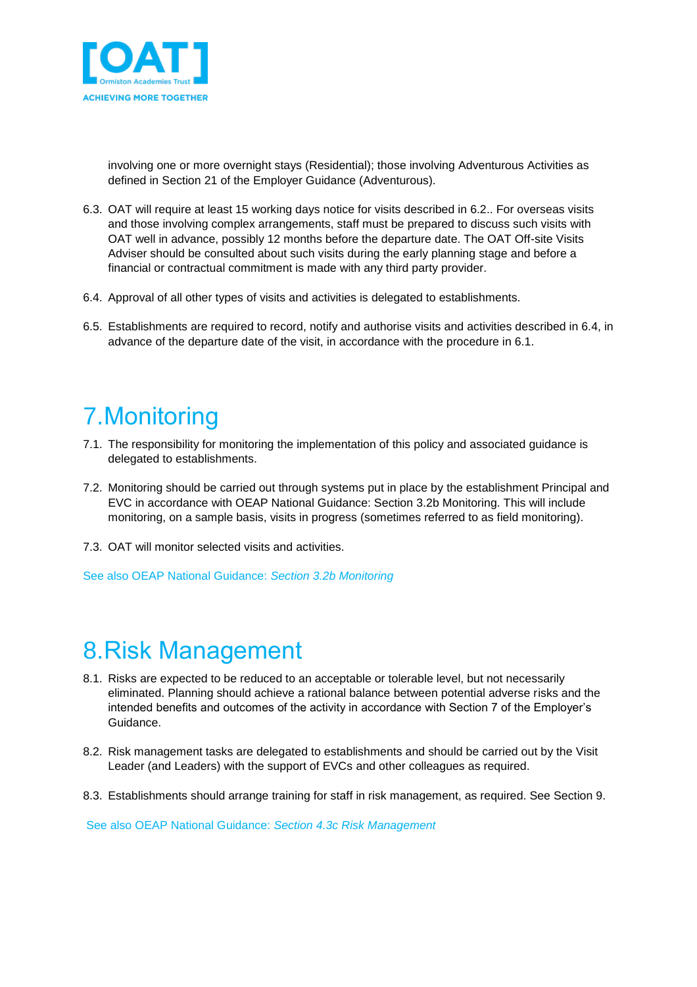

involving one or more overnight stays (Residential); those involving Adventurous Activities as defined in Section 21 of the Employer Guidance (Adventurous).

- 6.3. OAT will require at least 15 working days notice for visits described in 6.2.. For overseas visits and those involving complex arrangements, staff must be prepared to discuss such visits with OAT well in advance, possibly 12 months before the departure date. The OAT Off-site Visits Adviser should be consulted about such visits during the early planning stage and before a financial or contractual commitment is made with any third party provider.
- 6.4. Approval of all other types of visits and activities is delegated to establishments.
- 6.5. Establishments are required to record, notify and authorise visits and activities described in 6.4, in advance of the departure date of the visit, in accordance with the procedure in 6.1.

# <span id="page-7-0"></span>7.Monitoring

- 7.1. The responsibility for monitoring the implementation of this policy and associated guidance is delegated to establishments.
- 7.2. Monitoring should be carried out through systems put in place by the establishment Principal and EVC in accordance with OEAP National Guidance: Section 3.2b Monitoring. This will include monitoring, on a sample basis, visits in progress (sometimes referred to as field monitoring).
- 7.3. OAT will monitor selected visits and activities.

See also OEAP National Guidance: *Section 3.2b Monitoring*

# <span id="page-7-1"></span>8.Risk Management

- 8.1. Risks are expected to be reduced to an acceptable or tolerable level, but not necessarily eliminated. Planning should achieve a rational balance between potential adverse risks and the intended benefits and outcomes of the activity in accordance with Section 7 of the Employer's Guidance.
- 8.2. Risk management tasks are delegated to establishments and should be carried out by the Visit Leader (and Leaders) with the support of EVCs and other colleagues as required.
- 8.3. Establishments should arrange training for staff in risk management, as required. See Section 9.

See also OEAP National Guidance: *Section 4.3c Risk Management*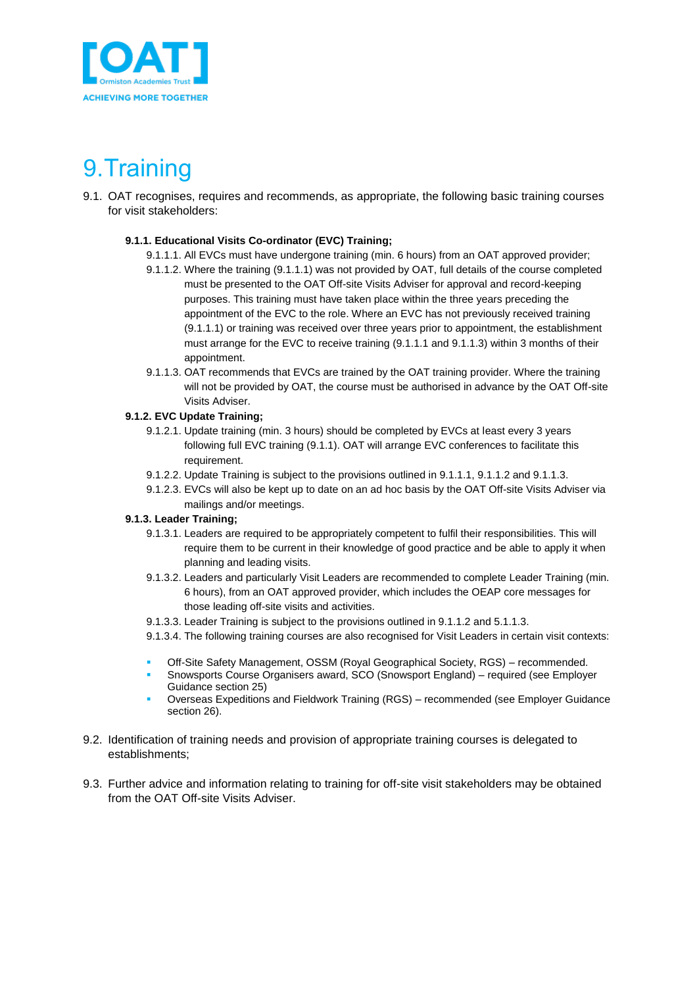

# <span id="page-8-0"></span>9.Training

9.1. OAT recognises, requires and recommends, as appropriate, the following basic training courses for visit stakeholders:

#### **9.1.1. Educational Visits Co-ordinator (EVC) Training;**

- 9.1.1.1. All EVCs must have undergone training (min. 6 hours) from an OAT approved provider;
- 9.1.1.2. Where the training (9.1.1.1) was not provided by OAT, full details of the course completed must be presented to the OAT Off-site Visits Adviser for approval and record-keeping purposes. This training must have taken place within the three years preceding the appointment of the EVC to the role. Where an EVC has not previously received training (9.1.1.1) or training was received over three years prior to appointment, the establishment must arrange for the EVC to receive training (9.1.1.1 and 9.1.1.3) within 3 months of their appointment.
- 9.1.1.3. OAT recommends that EVCs are trained by the OAT training provider. Where the training will not be provided by OAT, the course must be authorised in advance by the OAT Off-site Visits Adviser.

#### **9.1.2. EVC Update Training;**

- 9.1.2.1. Update training (min. 3 hours) should be completed by EVCs at least every 3 years following full EVC training (9.1.1). OAT will arrange EVC conferences to facilitate this requirement.
- 9.1.2.2. Update Training is subject to the provisions outlined in 9.1.1.1, 9.1.1.2 and 9.1.1.3.
- 9.1.2.3. EVCs will also be kept up to date on an ad hoc basis by the OAT Off-site Visits Adviser via mailings and/or meetings.

#### **9.1.3. Leader Training;**

- 9.1.3.1. Leaders are required to be appropriately competent to fulfil their responsibilities. This will require them to be current in their knowledge of good practice and be able to apply it when planning and leading visits.
- 9.1.3.2. Leaders and particularly Visit Leaders are recommended to complete Leader Training (min. 6 hours), from an OAT approved provider, which includes the OEAP core messages for those leading off-site visits and activities.
- 9.1.3.3. Leader Training is subject to the provisions outlined in 9.1.1.2 and 5.1.1.3.
- 9.1.3.4. The following training courses are also recognised for Visit Leaders in certain visit contexts:
- Off-Site Safety Management, OSSM (Royal Geographical Society, RGS) recommended.
- Snowsports Course Organisers award, SCO (Snowsport England) required (see Employer Guidance section 25)
- Overseas Expeditions and Fieldwork Training (RGS) recommended (see Employer Guidance section 26).
- 9.2. Identification of training needs and provision of appropriate training courses is delegated to establishments;
- 9.3. Further advice and information relating to training for off-site visit stakeholders may be obtained from the OAT Off-site Visits Adviser.